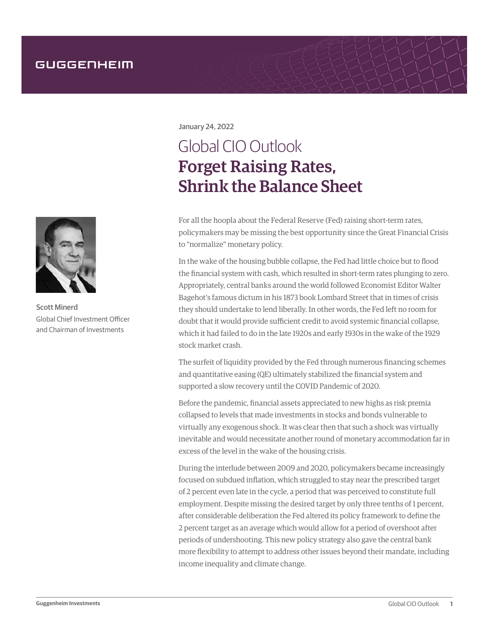

Scott Minerd Global Chief Investment Officer and Chairman of Investments

January 24, 2022

# Global CIO Outlook Forget Raising Rates, Shrink the Balance Sheet

For all the hoopla about the Federal Reserve (Fed) raising short-term rates, policymakers may be missing the best opportunity since the Great Financial Crisis to "normalize" monetary policy.

In the wake of the housing bubble collapse, the Fed had little choice but to flood the financial system with cash, which resulted in short-term rates plunging to zero. Appropriately, central banks around the world followed Economist Editor Walter Bagehot's famous dictum in his 1873 book Lombard Street that in times of crisis they should undertake to lend liberally. In other words, the Fed left no room for doubt that it would provide sufficient credit to avoid systemic financial collapse, which it had failed to do in the late 1920s and early 1930s in the wake of the 1929 stock market crash.

The surfeit of liquidity provided by the Fed through numerous financing schemes and quantitative easing (QE) ultimately stabilized the financial system and supported a slow recovery until the COVID Pandemic of 2020.

Before the pandemic, financial assets appreciated to new highs as risk premia collapsed to levels that made investments in stocks and bonds vulnerable to virtually any exogenous shock. It was clear then that such a shock was virtually inevitable and would necessitate another round of monetary accommodation far in excess of the level in the wake of the housing crisis.

During the interlude between 2009 and 2020, policymakers became increasingly focused on subdued inflation, which struggled to stay near the prescribed target of 2 percent even late in the cycle, a period that was perceived to constitute full employment. Despite missing the desired target by only three tenths of 1 percent, after considerable deliberation the Fed altered its policy framework to define the 2 percent target as an average which would allow for a period of overshoot after periods of undershooting. This new policy strategy also gave the central bank more flexibility to attempt to address other issues beyond their mandate, including income inequality and climate change.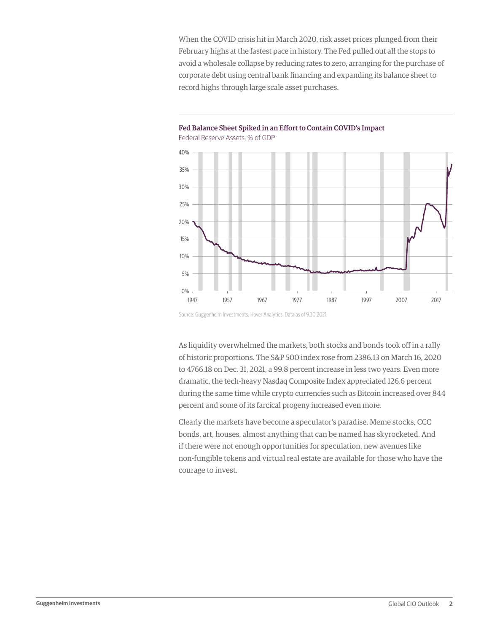When the COVID crisis hit in March 2020, risk asset prices plunged from their February highs at the fastest pace in history. The Fed pulled out all the stops to avoid a wholesale collapse by reducing rates to zero, arranging for the purchase of corporate debt using central bank financing and expanding its balance sheet to record highs through large scale asset purchases.



Fed Balance Sheet Spiked in an Effort to Contain COVID's Impact Federal Reserve Assets, % of GDP

Source: Guggenheim Investments, Haver Analytics. Data as of 9.30.2021.

As liquidity overwhelmed the markets, both stocks and bonds took off in a rally of historic proportions. The S&P 500 index rose from 2386.13 on March 16, 2020 to 4766.18 on Dec. 31, 2021, a 99.8 percent increase in less two years. Even more dramatic, the tech-heavy Nasdaq Composite Index appreciated 126.6 percent during the same time while crypto currencies such as Bitcoin increased over 844 percent and some of its farcical progeny increased even more.

Clearly the markets have become a speculator's paradise. Meme stocks, CCC bonds, art, houses, almost anything that can be named has skyrocketed. And if there were not enough opportunities for speculation, new avenues like non-fungible tokens and virtual real estate are available for those who have the courage to invest.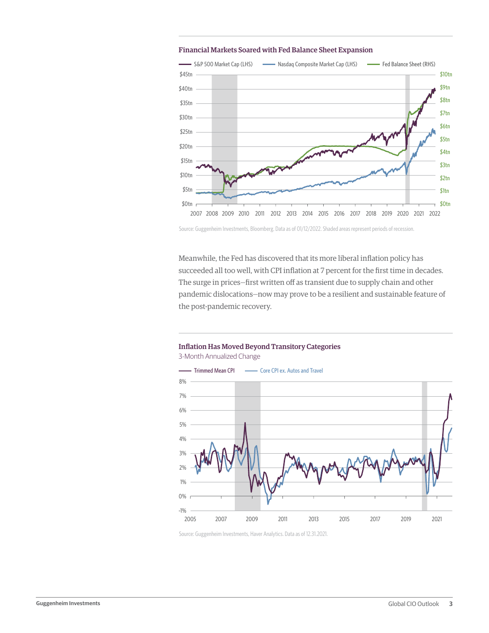

#### Financial Markets Soared with Fed Balance Sheet Expansion

Source: Guggenheim Investments, Bloomberg. Data as of 01/12/2022. Shaded areas represent periods of recession.

Meanwhile, the Fed has discovered that its more liberal inflation policy has succeeded all too well, with CPI inflation at 7 percent for the first time in decades. The surge in prices—first written off as transient due to supply chain and other pandemic dislocations—now may prove to be a resilient and sustainable feature of the post-pandemic recovery.



## Inflation Has Moved Beyond Transitory Categories 3-Month Annualized Change

Source: Guggenheim Investments, Haver Analytics. Data as of 12.31.2021.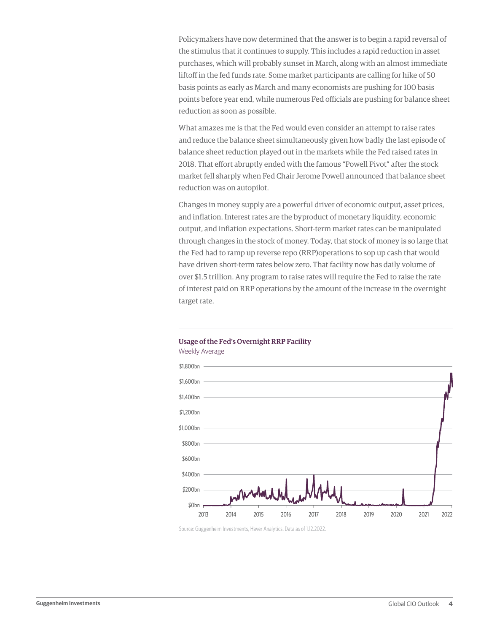Policymakers have now determined that the answer is to begin a rapid reversal of the stimulus that it continues to supply. This includes a rapid reduction in asset purchases, which will probably sunset in March, along with an almost immediate liftoff in the fed funds rate. Some market participants are calling for hike of 50 basis points as early as March and many economists are pushing for 100 basis points before year end, while numerous Fed officials are pushing for balance sheet reduction as soon as possible.

What amazes me is that the Fed would even consider an attempt to raise rates and reduce the balance sheet simultaneously given how badly the last episode of balance sheet reduction played out in the markets while the Fed raised rates in 2018. That effort abruptly ended with the famous "Powell Pivot" after the stock market fell sharply when Fed Chair Jerome Powell announced that balance sheet reduction was on autopilot.

Changes in money supply are a powerful driver of economic output, asset prices, and inflation. Interest rates are the byproduct of monetary liquidity, economic output, and inflation expectations. Short-term market rates can be manipulated through changes in the stock of money. Today, that stock of money is so large that the Fed had to ramp up reverse repo (RRP)operations to sop up cash that would have driven short-term rates below zero. That facility now has daily volume of over \$1.5 trillion. Any program to raise rates will require the Fed to raise the rate of interest paid on RRP operations by the amount of the increase in the overnight target rate.



### Usage of the Fed's Overnight RRP Facility Weekly Average

Source: Guggenheim Investments, Haver Analytics. Data as of 1.12.2022.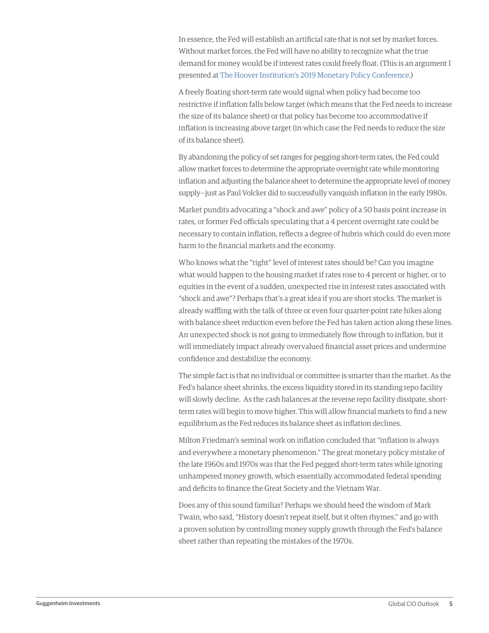In essence, the Fed will establish an artificial rate that is not set by market forces. Without market forces, the Fed will have no ability to recognize what the true demand for money would be if interest rates could freely float. (This is an argument I presented at [The Hoover Institution's 2019 Monetary Policy Conference](https://www.youtube.com/watch?app=desktop&v=UjWvzB6VABs).)

A freely floating short-term rate would signal when policy had become too restrictive if inflation falls below target (which means that the Fed needs to increase the size of its balance sheet) or that policy has become too accommodative if inflation is increasing above target (in which case the Fed needs to reduce the size of its balance sheet).

By abandoning the policy of set ranges for pegging short-term rates, the Fed could allow market forces to determine the appropriate overnight rate while monitoring inflation and adjusting the balance sheet to determine the appropriate level of money supply—just as Paul Volcker did to successfully vanquish inflation in the early 1980s.

Market pundits advocating a "shock and awe" policy of a 50 basis point increase in rates, or former Fed officials speculating that a 4 percent overnight rate could be necessary to contain inflation, reflects a degree of hubris which could do even more harm to the financial markets and the economy.

Who knows what the "right" level of interest rates should be? Can you imagine what would happen to the housing market if rates rose to 4 percent or higher, or to equities in the event of a sudden, unexpected rise in interest rates associated with "shock and awe"? Perhaps that's a great idea if you are short stocks. The market is already waffling with the talk of three or even four quarter-point rate hikes along with balance sheet reduction even before the Fed has taken action along these lines. An unexpected shock is not going to immediately flow through to inflation, but it will immediately impact already overvalued financial asset prices and undermine confidence and destabilize the economy.

The simple fact is that no individual or committee is smarter than the market. As the Fed's balance sheet shrinks, the excess liquidity stored in its standing repo facility will slowly decline. As the cash balances at the reverse repo facility dissipate, shortterm rates will begin to move higher. This will allow financial markets to find a new equilibrium as the Fed reduces its balance sheet as inflation declines.

Milton Friedman's seminal work on inflation concluded that "inflation is always and everywhere a monetary phenomenon." The great monetary policy mistake of the late 1960s and 1970s was that the Fed pegged short-term rates while ignoring unhampered money growth, which essentially accommodated federal spending and deficits to finance the Great Society and the Vietnam War.

Does any of this sound familiar? Perhaps we should heed the wisdom of Mark Twain, who said, "History doesn't repeat itself, but it often rhymes," and go with a proven solution by controlling money supply growth through the Fed's balance sheet rather than repeating the mistakes of the 1970s.